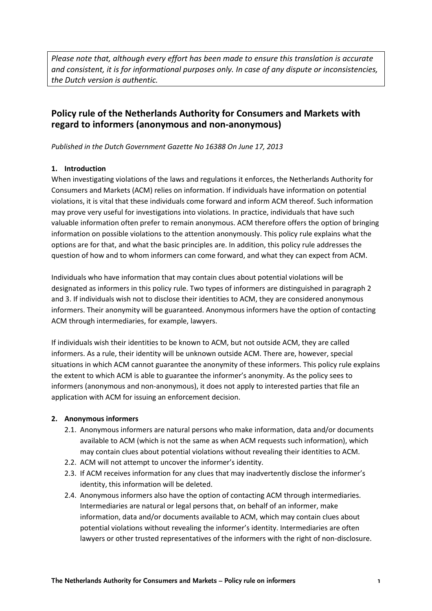*Please note that, although every effort has been made to ensure this translation is accurate and consistent, it is for informational purposes only. In case of any dispute or inconsistencies, the Dutch version is authentic.*

# **Policy rule of the Netherlands Authority for Consumers and Markets with regard to informers (anonymous and non-anonymous)**

*Published in the Dutch Government Gazette No 16388 On June 17, 2013*

#### **1. Introduction**

When investigating violations of the laws and regulations it enforces, the Netherlands Authority for Consumers and Markets (ACM) relies on information. If individuals have information on potential violations, it is vital that these individuals come forward and inform ACM thereof. Such information may prove very useful for investigations into violations. In practice, individuals that have such valuable information often prefer to remain anonymous. ACM therefore offers the option of bringing information on possible violations to the attention anonymously. This policy rule explains what the options are for that, and what the basic principles are. In addition, this policy rule addresses the question of how and to whom informers can come forward, and what they can expect from ACM.

Individuals who have information that may contain clues about potential violations will be designated as informers in this policy rule. Two types of informers are distinguished in paragraph 2 and 3. If individuals wish not to disclose their identities to ACM, they are considered anonymous informers. Their anonymity will be guaranteed. Anonymous informers have the option of contacting ACM through intermediaries, for example, lawyers.

If individuals wish their identities to be known to ACM, but not outside ACM, they are called informers. As a rule, their identity will be unknown outside ACM. There are, however, special situations in which ACM cannot guarantee the anonymity of these informers. This policy rule explains the extent to which ACM is able to guarantee the informer's anonymity. As the policy sees to informers (anonymous and non-anonymous), it does not apply to interested parties that file an application with ACM for issuing an enforcement decision.

## **2. Anonymous informers**

- 2.1. Anonymous informers are natural persons who make information, data and/or documents available to ACM (which is not the same as when ACM requests such information), which may contain clues about potential violations without revealing their identities to ACM.
- 2.2. ACM will not attempt to uncover the informer's identity.
- 2.3. If ACM receives information for any clues that may inadvertently disclose the informer's identity, this information will be deleted.
- 2.4. Anonymous informers also have the option of contacting ACM through intermediaries. Intermediaries are natural or legal persons that, on behalf of an informer, make information, data and/or documents available to ACM, which may contain clues about potential violations without revealing the informer's identity. Intermediaries are often lawyers or other trusted representatives of the informers with the right of non-disclosure.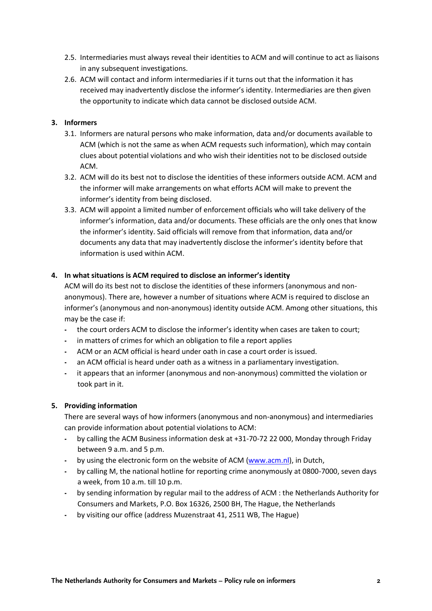- 2.5. Intermediaries must always reveal their identities to ACM and will continue to act as liaisons in any subsequent investigations.
- 2.6. ACM will contact and inform intermediaries if it turns out that the information it has received may inadvertently disclose the informer's identity. Intermediaries are then given the opportunity to indicate which data cannot be disclosed outside ACM.

## **3. Informers**

- 3.1. Informers are natural persons who make information, data and/or documents available to ACM (which is not the same as when ACM requests such information), which may contain clues about potential violations and who wish their identities not to be disclosed outside ACM.
- 3.2. ACM will do its best not to disclose the identities of these informers outside ACM. ACM and the informer will make arrangements on what efforts ACM will make to prevent the informer's identity from being disclosed.
- 3.3. ACM will appoint a limited number of enforcement officials who will take delivery of the informer's information, data and/or documents. These officials are the only ones that know the informer's identity. Said officials will remove from that information, data and/or documents any data that may inadvertently disclose the informer's identity before that information is used within ACM.

## **4. In what situations is ACM required to disclose an informer's identity**

ACM will do its best not to disclose the identities of these informers (anonymous and nonanonymous). There are, however a number of situations where ACM is required to disclose an informer's (anonymous and non-anonymous) identity outside ACM. Among other situations, this may be the case if:

- the court orders ACM to disclose the informer's identity when cases are taken to court;
- in matters of crimes for which an obligation to file a report applies
- ACM or an ACM official is heard under oath in case a court order is issued.
- an ACM official is heard under oath as a witness in a parliamentary investigation.
- it appears that an informer (anonymous and non-anonymous) committed the violation or took part in it.

#### **5. Providing information**

There are several ways of how informers (anonymous and non-anonymous) and intermediaries can provide information about potential violations to ACM:

- by calling the ACM Business information desk at +31-70-72 22 000, Monday through Friday between 9 a.m. and 5 p.m.
- by using the electronic form on the website of ACM [\(www.acm.nl\)](http://www.acm.nl/), in Dutch,
- by calling M, the national hotline for reporting crime anonymously at 0800-7000, seven days a week, from 10 a.m. till 10 p.m.
- by sending information by regular mail to the address of ACM : the Netherlands Authority for Consumers and Markets, P.O. Box 16326, 2500 BH, The Hague, the Netherlands
- by visiting our office (address Muzenstraat 41, 2511 WB, The Hague)